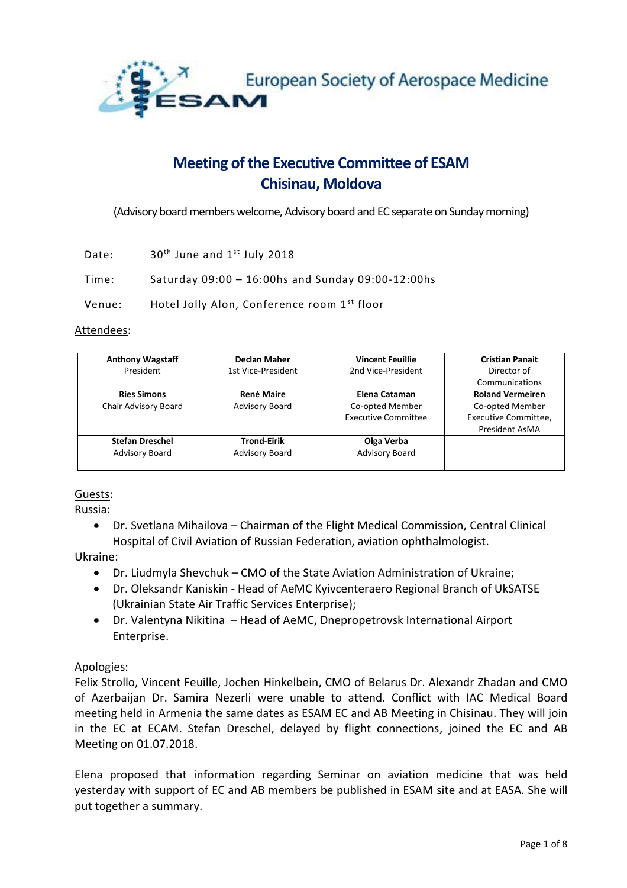

# **Meeting of the Executive Committee of ESAM Chisinau, Moldova**

(Advisory board members welcome, Advisory board and EC separate on Sunday morning)

Date:  $30<sup>th</sup>$  June and  $1<sup>st</sup>$  July 2018

Time: Saturday 09:00 – 16:00hs and Sunday 09:00-12:00hs

Venue: Hotel Jolly Alon, Conference room 1<sup>st</sup> floor

#### Attendees:

| <b>Anthony Wagstaff</b> | <b>Declan Maher</b>   | <b>Vincent Feuillie</b>    | <b>Cristian Panait</b>  |
|-------------------------|-----------------------|----------------------------|-------------------------|
| President               | 1st Vice-President    | 2nd Vice-President         | Director of             |
|                         |                       |                            | Communications          |
| <b>Ries Simons</b>      | <b>René Maire</b>     | Elena Cataman              | <b>Roland Vermeiren</b> |
| Chair Advisory Board    | <b>Advisory Board</b> | Co-opted Member            | Co-opted Member         |
|                         |                       | <b>Executive Committee</b> | Executive Committee,    |
|                         |                       |                            | President AsMA          |
| <b>Stefan Dreschel</b>  | <b>Trond-Eirik</b>    | Olga Verba                 |                         |
| <b>Advisory Board</b>   | <b>Advisory Board</b> | <b>Advisory Board</b>      |                         |
|                         |                       |                            |                         |

#### Guests:

Russia:

 Dr. Svetlana Mihailova – Chairman of the Flight Medical Commission, Central Clinical Hospital of Civil Aviation of Russian Federation, aviation ophthalmologist.

Ukraine:

- Dr. Liudmyla Shevchuk CMO of the State Aviation Administration of Ukraine;
- Dr. Oleksandr Kaniskin Head of AeMC Kyivcenteraero Regional Branch of UkSATSE (Ukrainian State Air Traffic Services Enterprise);
- Dr. Valentyna Nikitina Head of AeMC, Dnepropetrovsk International Airport Enterprise.

#### Apologies:

Felix Strollo, Vincent Feuille, Jochen Hinkelbein, CMO of Belarus Dr. Alexandr Zhadan and CMO of Azerbaijan Dr. Samira Nezerli were unable to attend. Conflict with IAC Medical Board meeting held in Armenia the same dates as ESAM EC and AB Meeting in Chisinau. They will join in the EC at ECAM. Stefan Dreschel, delayed by flight connections, joined the EC and AB Meeting on 01.07.2018.

Elena proposed that information regarding Seminar on aviation medicine that was held yesterday with support of EC and AB members be published in ESAM site and at EASA. She will put together a summary.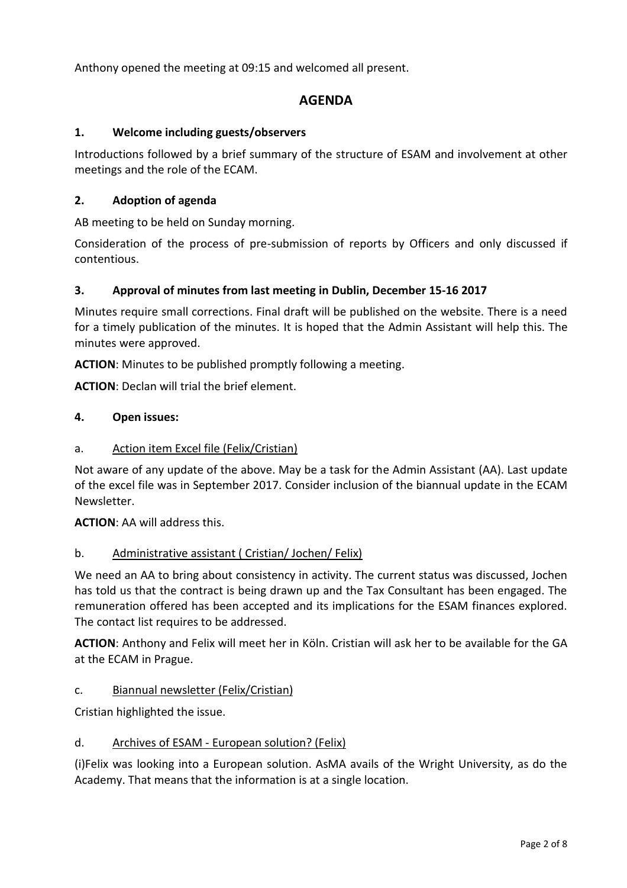Anthony opened the meeting at 09:15 and welcomed all present.

# **AGENDA**

# **1. Welcome including guests/observers**

Introductions followed by a brief summary of the structure of ESAM and involvement at other meetings and the role of the ECAM.

# **2. Adoption of agenda**

AB meeting to be held on Sunday morning.

Consideration of the process of pre-submission of reports by Officers and only discussed if contentious.

# **3. Approval of minutes from last meeting in Dublin, December 15-16 2017**

Minutes require small corrections. Final draft will be published on the website. There is a need for a timely publication of the minutes. It is hoped that the Admin Assistant will help this. The minutes were approved.

**ACTION**: Minutes to be published promptly following a meeting.

**ACTION**: Declan will trial the brief element.

#### **4. Open issues:**

#### a. Action item Excel file (Felix/Cristian)

Not aware of any update of the above. May be a task for the Admin Assistant (AA). Last update of the excel file was in September 2017. Consider inclusion of the biannual update in the ECAM Newsletter.

**ACTION**: AA will address this.

#### b. Administrative assistant ( Cristian/ Jochen/ Felix)

We need an AA to bring about consistency in activity. The current status was discussed, Jochen has told us that the contract is being drawn up and the Tax Consultant has been engaged. The remuneration offered has been accepted and its implications for the ESAM finances explored. The contact list requires to be addressed.

**ACTION**: Anthony and Felix will meet her in Köln. Cristian will ask her to be available for the GA at the ECAM in Prague.

#### c. Biannual newsletter (Felix/Cristian)

Cristian highlighted the issue.

#### d. Archives of ESAM - European solution? (Felix)

(i)Felix was looking into a European solution. AsMA avails of the Wright University, as do the Academy. That means that the information is at a single location.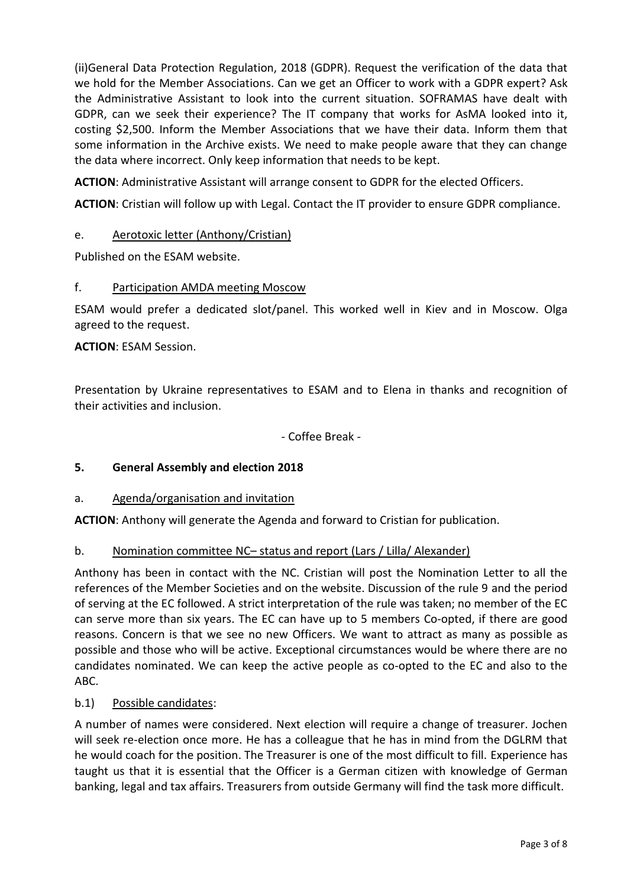(ii)General Data Protection Regulation, 2018 (GDPR). Request the verification of the data that we hold for the Member Associations. Can we get an Officer to work with a GDPR expert? Ask the Administrative Assistant to look into the current situation. SOFRAMAS have dealt with GDPR, can we seek their experience? The IT company that works for AsMA looked into it, costing \$2,500. Inform the Member Associations that we have their data. Inform them that some information in the Archive exists. We need to make people aware that they can change the data where incorrect. Only keep information that needs to be kept.

**ACTION**: Administrative Assistant will arrange consent to GDPR for the elected Officers.

**ACTION**: Cristian will follow up with Legal. Contact the IT provider to ensure GDPR compliance.

# e. Aerotoxic letter (Anthony/Cristian)

Published on the ESAM website.

#### f. Participation AMDA meeting Moscow

ESAM would prefer a dedicated slot/panel. This worked well in Kiev and in Moscow. Olga agreed to the request.

**ACTION**: ESAM Session.

Presentation by Ukraine representatives to ESAM and to Elena in thanks and recognition of their activities and inclusion.

- Coffee Break -

#### **5. General Assembly and election 2018**

#### a. Agenda/organisation and invitation

**ACTION**: Anthony will generate the Agenda and forward to Cristian for publication.

#### b. Nomination committee NC– status and report (Lars / Lilla/ Alexander)

Anthony has been in contact with the NC. Cristian will post the Nomination Letter to all the references of the Member Societies and on the website. Discussion of the rule 9 and the period of serving at the EC followed. A strict interpretation of the rule was taken; no member of the EC can serve more than six years. The EC can have up to 5 members Co-opted, if there are good reasons. Concern is that we see no new Officers. We want to attract as many as possible as possible and those who will be active. Exceptional circumstances would be where there are no candidates nominated. We can keep the active people as co-opted to the EC and also to the ABC.

#### b.1) Possible candidates:

A number of names were considered. Next election will require a change of treasurer. Jochen will seek re-election once more. He has a colleague that he has in mind from the DGLRM that he would coach for the position. The Treasurer is one of the most difficult to fill. Experience has taught us that it is essential that the Officer is a German citizen with knowledge of German banking, legal and tax affairs. Treasurers from outside Germany will find the task more difficult.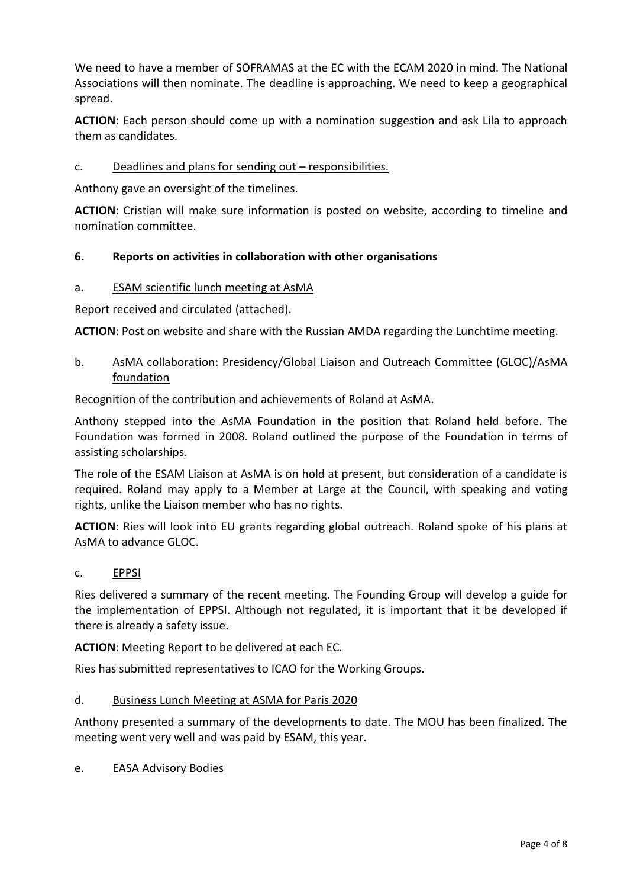We need to have a member of SOFRAMAS at the EC with the ECAM 2020 in mind. The National Associations will then nominate. The deadline is approaching. We need to keep a geographical spread.

**ACTION**: Each person should come up with a nomination suggestion and ask Lila to approach them as candidates.

# c. Deadlines and plans for sending out – responsibilities.

Anthony gave an oversight of the timelines.

**ACTION**: Cristian will make sure information is posted on website, according to timeline and nomination committee.

# **6. Reports on activities in collaboration with other organisations**

#### a. ESAM scientific lunch meeting at AsMA

Report received and circulated (attached).

**ACTION**: Post on website and share with the Russian AMDA regarding the Lunchtime meeting.

# b. AsMA collaboration: Presidency/Global Liaison and Outreach Committee (GLOC)/AsMA foundation

Recognition of the contribution and achievements of Roland at AsMA.

Anthony stepped into the AsMA Foundation in the position that Roland held before. The Foundation was formed in 2008. Roland outlined the purpose of the Foundation in terms of assisting scholarships.

The role of the ESAM Liaison at AsMA is on hold at present, but consideration of a candidate is required. Roland may apply to a Member at Large at the Council, with speaking and voting rights, unlike the Liaison member who has no rights.

**ACTION**: Ries will look into EU grants regarding global outreach. Roland spoke of his plans at AsMA to advance GLOC.

#### c. EPPSI

Ries delivered a summary of the recent meeting. The Founding Group will develop a guide for the implementation of EPPSI. Although not regulated, it is important that it be developed if there is already a safety issue.

**ACTION**: Meeting Report to be delivered at each EC.

Ries has submitted representatives to ICAO for the Working Groups.

#### d. Business Lunch Meeting at ASMA for Paris 2020

Anthony presented a summary of the developments to date. The MOU has been finalized. The meeting went very well and was paid by ESAM, this year.

e. EASA Advisory Bodies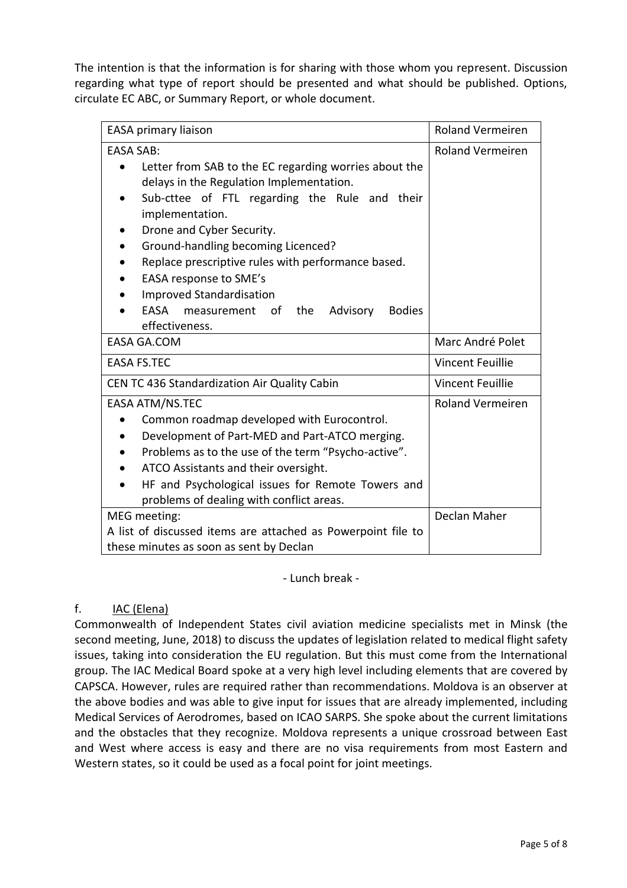The intention is that the information is for sharing with those whom you represent. Discussion regarding what type of report should be presented and what should be published. Options, circulate EC ABC, or Summary Report, or whole document.

| EASA primary liaison                                             | Roland Vermeiren        |
|------------------------------------------------------------------|-------------------------|
| <b>EASA SAB:</b>                                                 | <b>Roland Vermeiren</b> |
| Letter from SAB to the EC regarding worries about the            |                         |
| delays in the Regulation Implementation.                         |                         |
| Sub-cttee of FTL regarding the Rule and their<br>implementation. |                         |
| Drone and Cyber Security.                                        |                         |
| Ground-handling becoming Licenced?                               |                         |
| Replace prescriptive rules with performance based.               |                         |
| EASA response to SME's                                           |                         |
| <b>Improved Standardisation</b>                                  |                         |
| EASA<br>measurement<br>the<br><b>Bodies</b><br>of<br>Advisory    |                         |
| effectiveness.                                                   |                         |
| <b>EASA GA.COM</b>                                               | Marc André Polet        |
| <b>EASA FS.TEC</b>                                               | <b>Vincent Feuillie</b> |
| CEN TC 436 Standardization Air Quality Cabin                     | <b>Vincent Feuillie</b> |
| EASA ATM/NS.TEC                                                  | <b>Roland Vermeiren</b> |
| Common roadmap developed with Eurocontrol.                       |                         |
| Development of Part-MED and Part-ATCO merging.                   |                         |
| Problems as to the use of the term "Psycho-active".              |                         |
| ATCO Assistants and their oversight.                             |                         |
| HF and Psychological issues for Remote Towers and                |                         |
| problems of dealing with conflict areas.                         |                         |
| MEG meeting:                                                     | Declan Maher            |
| A list of discussed items are attached as Powerpoint file to     |                         |
| these minutes as soon as sent by Declan                          |                         |

- Lunch break -

# f. IAC (Elena)

Commonwealth of Independent States civil aviation medicine specialists met in Minsk (the second meeting, June, 2018) to discuss the updates of legislation related to medical flight safety issues, taking into consideration the EU regulation. But this must come from the International group. The IAC Medical Board spoke at a very high level including elements that are covered by CAPSCA. However, rules are required rather than recommendations. Moldova is an observer at the above bodies and was able to give input for issues that are already implemented, including Medical Services of Aerodromes, based on ICAO SARPS. She spoke about the current limitations and the obstacles that they recognize. Moldova represents a unique crossroad between East and West where access is easy and there are no visa requirements from most Eastern and Western states, so it could be used as a focal point for joint meetings.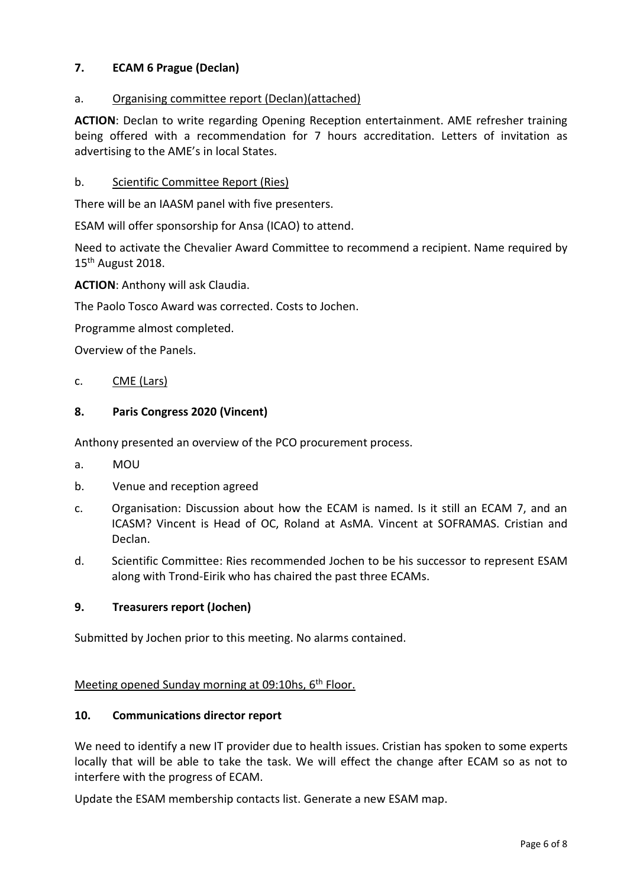# **7. ECAM 6 Prague (Declan)**

# a. Organising committee report (Declan)(attached)

**ACTION**: Declan to write regarding Opening Reception entertainment. AME refresher training being offered with a recommendation for 7 hours accreditation. Letters of invitation as advertising to the AME's in local States.

# b. Scientific Committee Report (Ries)

There will be an IAASM panel with five presenters.

ESAM will offer sponsorship for Ansa (ICAO) to attend.

Need to activate the Chevalier Award Committee to recommend a recipient. Name required by  $15<sup>th</sup>$  August 2018.

**ACTION**: Anthony will ask Claudia.

The Paolo Tosco Award was corrected. Costs to Jochen.

Programme almost completed.

Overview of the Panels.

#### c. CME (Lars)

# **8. Paris Congress 2020 (Vincent)**

Anthony presented an overview of the PCO procurement process.

- a. MOU
- b. Venue and reception agreed
- c. Organisation: Discussion about how the ECAM is named. Is it still an ECAM 7, and an ICASM? Vincent is Head of OC, Roland at AsMA. Vincent at SOFRAMAS. Cristian and Declan.
- d. Scientific Committee: Ries recommended Jochen to be his successor to represent ESAM along with Trond-Eirik who has chaired the past three ECAMs.

#### **9. Treasurers report (Jochen)**

Submitted by Jochen prior to this meeting. No alarms contained.

# Meeting opened Sunday morning at 09:10hs, 6<sup>th</sup> Floor.

#### **10. Communications director report**

We need to identify a new IT provider due to health issues. Cristian has spoken to some experts locally that will be able to take the task. We will effect the change after ECAM so as not to interfere with the progress of ECAM.

Update the ESAM membership contacts list. Generate a new ESAM map.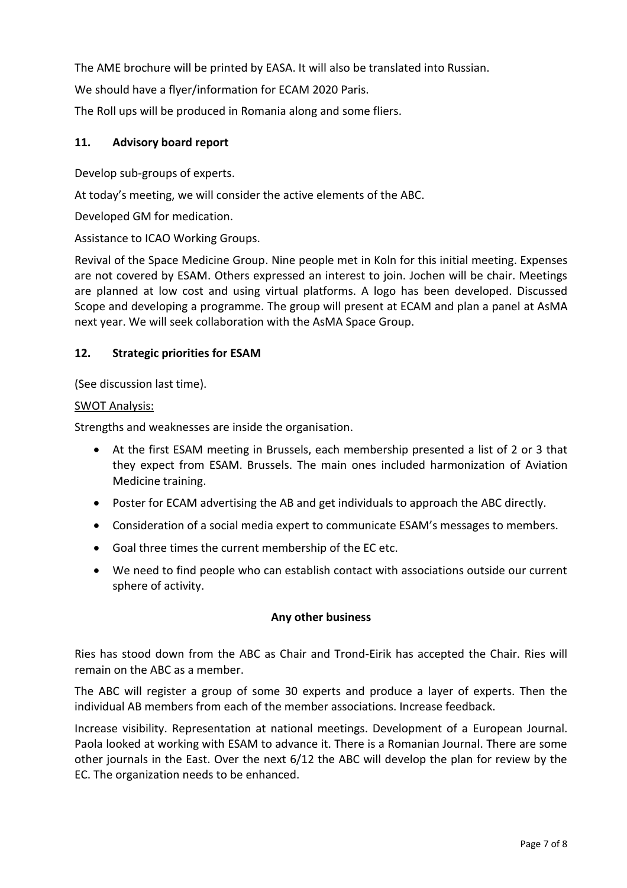The AME brochure will be printed by EASA. It will also be translated into Russian.

We should have a flyer/information for ECAM 2020 Paris.

The Roll ups will be produced in Romania along and some fliers.

# **11. Advisory board report**

Develop sub-groups of experts.

At today's meeting, we will consider the active elements of the ABC.

Developed GM for medication.

Assistance to ICAO Working Groups.

Revival of the Space Medicine Group. Nine people met in Koln for this initial meeting. Expenses are not covered by ESAM. Others expressed an interest to join. Jochen will be chair. Meetings are planned at low cost and using virtual platforms. A logo has been developed. Discussed Scope and developing a programme. The group will present at ECAM and plan a panel at AsMA next year. We will seek collaboration with the AsMA Space Group.

# **12. Strategic priorities for ESAM**

(See discussion last time).

#### SWOT Analysis:

Strengths and weaknesses are inside the organisation.

- At the first ESAM meeting in Brussels, each membership presented a list of 2 or 3 that they expect from ESAM. Brussels. The main ones included harmonization of Aviation Medicine training.
- Poster for ECAM advertising the AB and get individuals to approach the ABC directly.
- Consideration of a social media expert to communicate ESAM's messages to members.
- Goal three times the current membership of the EC etc.
- We need to find people who can establish contact with associations outside our current sphere of activity.

#### **Any other business**

Ries has stood down from the ABC as Chair and Trond-Eirik has accepted the Chair. Ries will remain on the ABC as a member.

The ABC will register a group of some 30 experts and produce a layer of experts. Then the individual AB members from each of the member associations. Increase feedback.

Increase visibility. Representation at national meetings. Development of a European Journal. Paola looked at working with ESAM to advance it. There is a Romanian Journal. There are some other journals in the East. Over the next 6/12 the ABC will develop the plan for review by the EC. The organization needs to be enhanced.